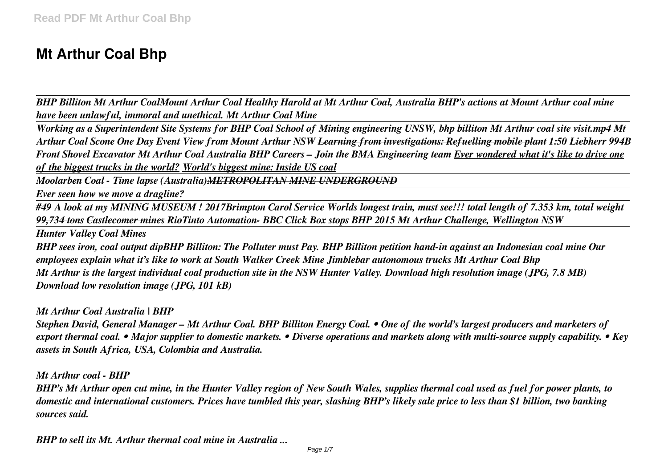# **Mt Arthur Coal Bhp**

*BHP Billiton Mt Arthur CoalMount Arthur Coal Healthy Harold at Mt Arthur Coal, Australia BHP's actions at Mount Arthur coal mine have been unlawful, immoral and unethical. Mt Arthur Coal Mine* 

*Working as a Superintendent Site Systems for BHP Coal School of Mining engineering UNSW, bhp billiton Mt Arthur coal site visit.mp4 Mt Arthur Coal Scone One Day Event View from Mount Arthur NSW Learning from investigations: Refuelling mobile plant 1:50 Liebherr 994B Front Shovel Excavator Mt Arthur Coal Australia BHP Careers – Join the BMA Engineering team Ever wondered what it's like to drive one of the biggest trucks in the world? World's biggest mine: Inside US coal*

*Moolarben Coal - Time lapse (Australia)METROPOLITAN MINE UNDERGROUND*

*Ever seen how we move a dragline?*

*#49 A look at my MINING MUSEUM ! 2017Brimpton Carol Service Worlds longest train, must see!!! total length of 7.353 km, total weight 99,734 tons Castlecomer mines RioTinto Automation- BBC Click Box stops BHP 2015 Mt Arthur Challenge, Wellington NSW* 

*Hunter Valley Coal Mines*

*BHP sees iron, coal output dipBHP Billiton: The Polluter must Pay. BHP Billiton petition hand-in against an Indonesian coal mine Our employees explain what it's like to work at South Walker Creek Mine Jimblebar autonomous trucks Mt Arthur Coal Bhp Mt Arthur is the largest individual coal production site in the NSW Hunter Valley. Download high resolution image (JPG, 7.8 MB) Download low resolution image (JPG, 101 kB)*

*Mt Arthur Coal Australia | BHP*

*Stephen David, General Manager – Mt Arthur Coal. BHP Billiton Energy Coal. • One of the world's largest producers and marketers of export thermal coal. • Major supplier to domestic markets. • Diverse operations and markets along with multi-source supply capability. • Key assets in South Africa, USA, Colombia and Australia.*

*Mt Arthur coal - BHP*

*BHP's Mt Arthur open cut mine, in the Hunter Valley region of New South Wales, supplies thermal coal used as fuel for power plants, to domestic and international customers. Prices have tumbled this year, slashing BHP's likely sale price to less than \$1 billion, two banking sources said.*

*BHP to sell its Mt. Arthur thermal coal mine in Australia ...*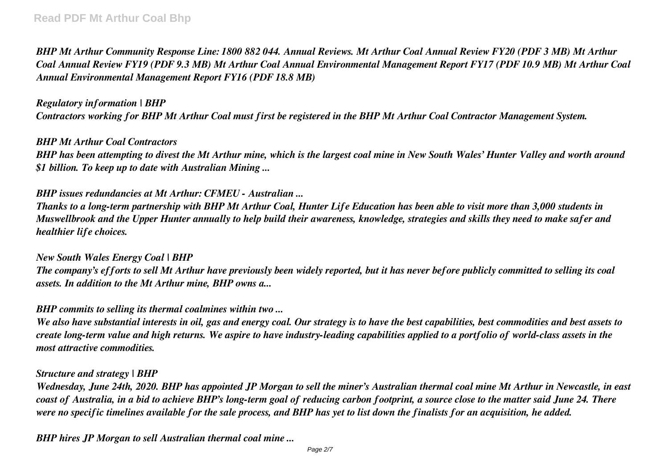*BHP Mt Arthur Community Response Line: 1800 882 044. Annual Reviews. Mt Arthur Coal Annual Review FY20 (PDF 3 MB) Mt Arthur Coal Annual Review FY19 (PDF 9.3 MB) Mt Arthur Coal Annual Environmental Management Report FY17 (PDF 10.9 MB) Mt Arthur Coal Annual Environmental Management Report FY16 (PDF 18.8 MB)*

#### *Regulatory information | BHP*

*Contractors working for BHP Mt Arthur Coal must first be registered in the BHP Mt Arthur Coal Contractor Management System.*

#### *BHP Mt Arthur Coal Contractors*

*BHP has been attempting to divest the Mt Arthur mine, which is the largest coal mine in New South Wales' Hunter Valley and worth around \$1 billion. To keep up to date with Australian Mining ...*

# *BHP issues redundancies at Mt Arthur: CFMEU - Australian ...*

*Thanks to a long-term partnership with BHP Mt Arthur Coal, Hunter Life Education has been able to visit more than 3,000 students in Muswellbrook and the Upper Hunter annually to help build their awareness, knowledge, strategies and skills they need to make safer and healthier life choices.*

#### *New South Wales Energy Coal | BHP*

*The company's efforts to sell Mt Arthur have previously been widely reported, but it has never before publicly committed to selling its coal assets. In addition to the Mt Arthur mine, BHP owns a...*

*BHP commits to selling its thermal coalmines within two ...*

*We also have substantial interests in oil, gas and energy coal. Our strategy is to have the best capabilities, best commodities and best assets to create long-term value and high returns. We aspire to have industry-leading capabilities applied to a portfolio of world-class assets in the most attractive commodities.*

#### *Structure and strategy | BHP*

*Wednesday, June 24th, 2020. BHP has appointed JP Morgan to sell the miner's Australian thermal coal mine Mt Arthur in Newcastle, in east coast of Australia, in a bid to achieve BHP's long-term goal of reducing carbon footprint, a source close to the matter said June 24. There were no specific timelines available for the sale process, and BHP has yet to list down the finalists for an acquisition, he added.*

*BHP hires JP Morgan to sell Australian thermal coal mine ...*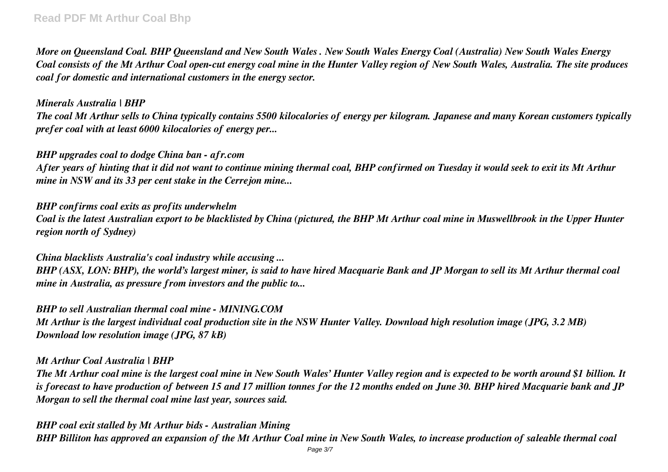*More on Queensland Coal. BHP Queensland and New South Wales . New South Wales Energy Coal (Australia) New South Wales Energy Coal consists of the Mt Arthur Coal open-cut energy coal mine in the Hunter Valley region of New South Wales, Australia. The site produces coal for domestic and international customers in the energy sector.*

#### *Minerals Australia | BHP*

*The coal Mt Arthur sells to China typically contains 5500 kilocalories of energy per kilogram. Japanese and many Korean customers typically prefer coal with at least 6000 kilocalories of energy per...*

#### *BHP upgrades coal to dodge China ban - afr.com*

*After years of hinting that it did not want to continue mining thermal coal, BHP confirmed on Tuesday it would seek to exit its Mt Arthur mine in NSW and its 33 per cent stake in the Cerrejon mine...*

# *BHP confirms coal exits as profits underwhelm*

*Coal is the latest Australian export to be blacklisted by China (pictured, the BHP Mt Arthur coal mine in Muswellbrook in the Upper Hunter region north of Sydney)*

#### *China blacklists Australia's coal industry while accusing ...*

*BHP (ASX, LON: BHP), the world's largest miner, is said to have hired Macquarie Bank and JP Morgan to sell its Mt Arthur thermal coal mine in Australia, as pressure from investors and the public to...*

*BHP to sell Australian thermal coal mine - MINING.COM Mt Arthur is the largest individual coal production site in the NSW Hunter Valley. Download high resolution image (JPG, 3.2 MB) Download low resolution image (JPG, 87 kB)*

#### *Mt Arthur Coal Australia | BHP*

*The Mt Arthur coal mine is the largest coal mine in New South Wales' Hunter Valley region and is expected to be worth around \$1 billion. It is forecast to have production of between 15 and 17 million tonnes for the 12 months ended on June 30. BHP hired Macquarie bank and JP Morgan to sell the thermal coal mine last year, sources said.*

*BHP coal exit stalled by Mt Arthur bids - Australian Mining BHP Billiton has approved an expansion of the Mt Arthur Coal mine in New South Wales, to increase production of saleable thermal coal*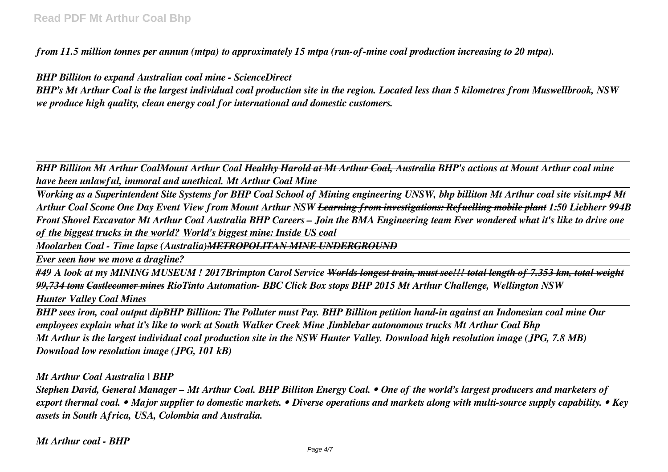*from 11.5 million tonnes per annum (mtpa) to approximately 15 mtpa (run-of-mine coal production increasing to 20 mtpa).*

*BHP Billiton to expand Australian coal mine - ScienceDirect*

*BHP's Mt Arthur Coal is the largest individual coal production site in the region. Located less than 5 kilometres from Muswellbrook, NSW we produce high quality, clean energy coal for international and domestic customers.*

*BHP Billiton Mt Arthur CoalMount Arthur Coal Healthy Harold at Mt Arthur Coal, Australia BHP's actions at Mount Arthur coal mine have been unlawful, immoral and unethical. Mt Arthur Coal Mine* 

*Working as a Superintendent Site Systems for BHP Coal School of Mining engineering UNSW, bhp billiton Mt Arthur coal site visit.mp4 Mt Arthur Coal Scone One Day Event View from Mount Arthur NSW Learning from investigations: Refuelling mobile plant 1:50 Liebherr 994B Front Shovel Excavator Mt Arthur Coal Australia BHP Careers – Join the BMA Engineering team Ever wondered what it's like to drive one of the biggest trucks in the world? World's biggest mine: Inside US coal*

*Moolarben Coal - Time lapse (Australia)METROPOLITAN MINE UNDERGROUND*

*Ever seen how we move a dragline?*

*#49 A look at my MINING MUSEUM ! 2017Brimpton Carol Service Worlds longest train, must see!!! total length of 7.353 km, total weight 99,734 tons Castlecomer mines RioTinto Automation- BBC Click Box stops BHP 2015 Mt Arthur Challenge, Wellington NSW* 

*Hunter Valley Coal Mines*

*BHP sees iron, coal output dipBHP Billiton: The Polluter must Pay. BHP Billiton petition hand-in against an Indonesian coal mine Our employees explain what it's like to work at South Walker Creek Mine Jimblebar autonomous trucks Mt Arthur Coal Bhp Mt Arthur is the largest individual coal production site in the NSW Hunter Valley. Download high resolution image (JPG, 7.8 MB) Download low resolution image (JPG, 101 kB)*

*Mt Arthur Coal Australia | BHP*

*Stephen David, General Manager – Mt Arthur Coal. BHP Billiton Energy Coal. • One of the world's largest producers and marketers of export thermal coal. • Major supplier to domestic markets. • Diverse operations and markets along with multi-source supply capability. • Key assets in South Africa, USA, Colombia and Australia.*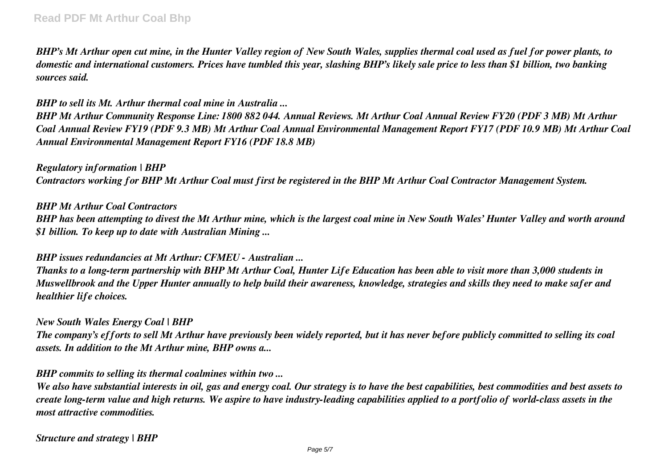*BHP's Mt Arthur open cut mine, in the Hunter Valley region of New South Wales, supplies thermal coal used as fuel for power plants, to domestic and international customers. Prices have tumbled this year, slashing BHP's likely sale price to less than \$1 billion, two banking sources said.*

# *BHP to sell its Mt. Arthur thermal coal mine in Australia ...*

*BHP Mt Arthur Community Response Line: 1800 882 044. Annual Reviews. Mt Arthur Coal Annual Review FY20 (PDF 3 MB) Mt Arthur Coal Annual Review FY19 (PDF 9.3 MB) Mt Arthur Coal Annual Environmental Management Report FY17 (PDF 10.9 MB) Mt Arthur Coal Annual Environmental Management Report FY16 (PDF 18.8 MB)*

*Regulatory information | BHP Contractors working for BHP Mt Arthur Coal must first be registered in the BHP Mt Arthur Coal Contractor Management System.*

*BHP Mt Arthur Coal Contractors*

*BHP has been attempting to divest the Mt Arthur mine, which is the largest coal mine in New South Wales' Hunter Valley and worth around \$1 billion. To keep up to date with Australian Mining ...*

#### *BHP issues redundancies at Mt Arthur: CFMEU - Australian ...*

*Thanks to a long-term partnership with BHP Mt Arthur Coal, Hunter Life Education has been able to visit more than 3,000 students in Muswellbrook and the Upper Hunter annually to help build their awareness, knowledge, strategies and skills they need to make safer and healthier life choices.*

#### *New South Wales Energy Coal | BHP*

*The company's efforts to sell Mt Arthur have previously been widely reported, but it has never before publicly committed to selling its coal assets. In addition to the Mt Arthur mine, BHP owns a...*

*BHP commits to selling its thermal coalmines within two ...*

*We also have substantial interests in oil, gas and energy coal. Our strategy is to have the best capabilities, best commodities and best assets to create long-term value and high returns. We aspire to have industry-leading capabilities applied to a portfolio of world-class assets in the most attractive commodities.*

*Structure and strategy | BHP*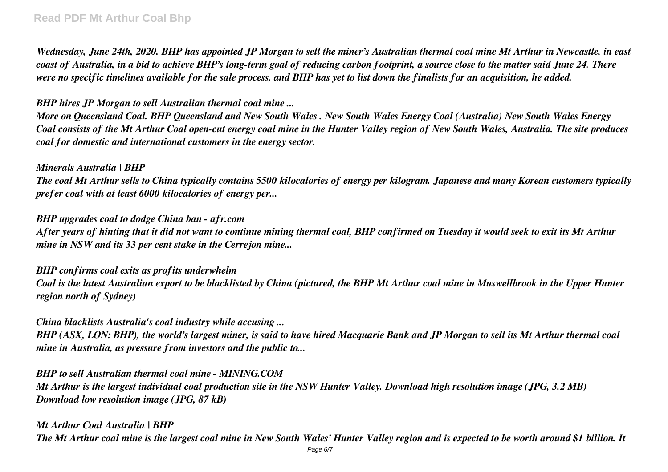# **Read PDF Mt Arthur Coal Bhp**

*Wednesday, June 24th, 2020. BHP has appointed JP Morgan to sell the miner's Australian thermal coal mine Mt Arthur in Newcastle, in east coast of Australia, in a bid to achieve BHP's long-term goal of reducing carbon footprint, a source close to the matter said June 24. There were no specific timelines available for the sale process, and BHP has yet to list down the finalists for an acquisition, he added.*

# *BHP hires JP Morgan to sell Australian thermal coal mine ...*

*More on Queensland Coal. BHP Queensland and New South Wales . New South Wales Energy Coal (Australia) New South Wales Energy Coal consists of the Mt Arthur Coal open-cut energy coal mine in the Hunter Valley region of New South Wales, Australia. The site produces coal for domestic and international customers in the energy sector.*

#### *Minerals Australia | BHP*

*The coal Mt Arthur sells to China typically contains 5500 kilocalories of energy per kilogram. Japanese and many Korean customers typically prefer coal with at least 6000 kilocalories of energy per...*

#### *BHP upgrades coal to dodge China ban - afr.com*

*After years of hinting that it did not want to continue mining thermal coal, BHP confirmed on Tuesday it would seek to exit its Mt Arthur mine in NSW and its 33 per cent stake in the Cerrejon mine...*

#### *BHP confirms coal exits as profits underwhelm*

*Coal is the latest Australian export to be blacklisted by China (pictured, the BHP Mt Arthur coal mine in Muswellbrook in the Upper Hunter region north of Sydney)*

#### *China blacklists Australia's coal industry while accusing ...*

*BHP (ASX, LON: BHP), the world's largest miner, is said to have hired Macquarie Bank and JP Morgan to sell its Mt Arthur thermal coal mine in Australia, as pressure from investors and the public to...*

*BHP to sell Australian thermal coal mine - MINING.COM Mt Arthur is the largest individual coal production site in the NSW Hunter Valley. Download high resolution image (JPG, 3.2 MB) Download low resolution image (JPG, 87 kB)*

*Mt Arthur Coal Australia | BHP The Mt Arthur coal mine is the largest coal mine in New South Wales' Hunter Valley region and is expected to be worth around \$1 billion. It*